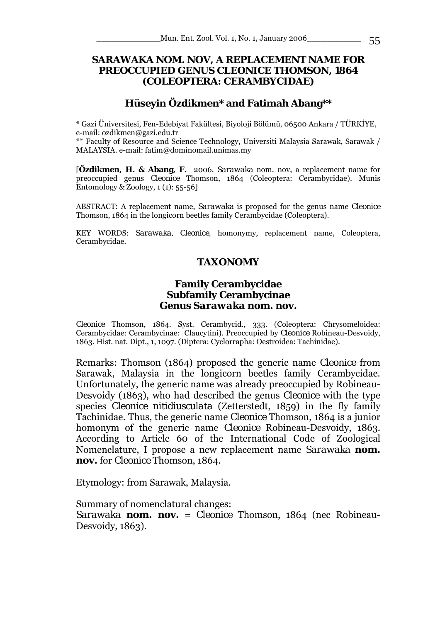# *SARAWAKA* **NOM. NOV, A REPLACEMENT NAME FOR PREOCCUPIED GENUS** *CLEONICE* **THOMSON, 1864 (COLEOPTERA: CERAMBYCIDAE)**

# **Hüseyin Özdikmen\* and Fatimah Abang\*\***

\* Gazi Üniversitesi, Fen-Edebiyat Fakültesi, Biyoloji Bölümü, 06500 Ankara / TÜRKİYE, e-mail: ozdikmen@gazi.edu.tr

\*\* Faculty of Resource and Science Technology, Universiti Malaysia Sarawak, Sarawak / MALAYSIA. e-mail: fatim@dominomail.unimas.my

[**Özdikmen, H. & Abang, F.** 2006. *Sarawaka* nom. nov, a replacement name for preoccupied genus *Cleonice* Thomson, 1864 (Coleoptera: Cerambycidae). Munis Entomology & Zoology,  $1(1)$ : 55-56]

ABSTRACT: A replacement name, *Sarawaka* is proposed for the genus name *Cleonice*  Thomson, 1864 in the longicorn beetles family Cerambycidae (Coleoptera).

KEY WORDS: *Sarawaka, Cleonice,* homonymy, replacement name, Coleoptera, Cerambycidae.

# **TAXONOMY**

#### **Family Cerambycidae Subfamily Cerambycinae Genus** *Sarawaka* **nom. nov.**

*Cleonice* Thomson, 1864. Syst. Cerambycid., 333. (Coleoptera: Chrysomeloidea: Cerambycidae: Cerambycinae: Claucytini). Preoccupied by *Cleonice* Robineau-Desvoidy, 1863. Hist. nat. Dipt., 1, 1097. (Diptera: Cyclorrapha: Oestroidea: Tachinidae).

Remarks: Thomson (1864) proposed the generic name *Cleonice* from Sarawak, Malaysia in the longicorn beetles family Cerambycidae. Unfortunately, the generic name was already preoccupied by Robineau-Desvoidy (1863), who had described the genus *Cleonice* with the type species *Cleonice nitidiusculata* (Zetterstedt, 1859) in the fly family Tachinidae. Thus, the generic name *Cleonice* Thomson, 1864 is a junior homonym of the generic name *Cleonice* Robineau-Desvoidy, 1863. According to Article 60 of the International Code of Zoological Nomenclature, I propose a new replacement name *Sarawaka* **nom. nov.** for *Cleonice* Thomson, 1864.

Etymology: from Sarawak, Malaysia.

Summary of nomenclatural changes:

*Sarawaka* **nom. nov.** = *Cleonice* Thomson, 1864 (nec Robineau-Desvoidy, 1863).